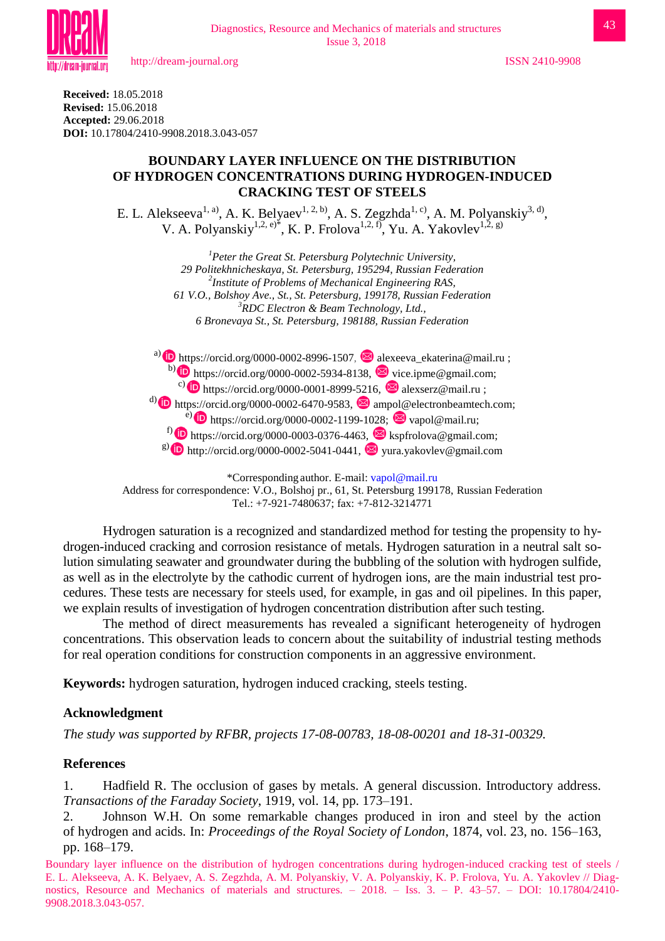

**Received:** 18.05.2018 **Revised:** 15.06.2018 **Accepted:** 29.06.2018 **DOI:** 10.17804/2410-9908.2018.3.043-057

### **BOUNDARY LAYER INFLUENCE ON THE DISTRIBUTION OF HYDROGEN CONCENTRATIONS DURING HYDROGEN-INDUCED CRACKING TEST OF STEELS**

E. L. Alekseeva<sup>1, a)</sup>, A. K. Belyaev<sup>1, 2, b)</sup>, A. S. Zegzhda<sup>1, c)</sup>, A. M. Polyanskiy<sup>3, d</sup>, V. A. Polyanskiy<sup>1,2, e)\*</sup>, K. P. Frolova<sup>1,2, f</sup>, Yu. A. Yakovlev<sup>1,2, g)</sup>

> *<sup>1</sup>Peter the Great St. Petersburg Polytechnic University, 29 Politekhnicheskaya, St. Petersburg, 195294, Russian Federation 2 Institute of Problems of Mechanical Engineering RAS, 61 V.O., Bolshoy Ave., St., St. Petersburg, 199178, Russian Federation <sup>3</sup>RDC Electron & Beam Technology, Ltd., 6 Bronevaya St., St. Petersburg, 198188, Russian Federation*

a) **iD** https://orcid.org/0000-0002-8996-1507,  $\blacksquare$  alexeeva\_ekaterina@mail.ru ; b)  $\bullet$  https://orcid.org/0000-0002-5934-8138,  $\bullet$  vice.ipme@gmail.com; c) **i** https://orcid.org/0000-0001-8999-5216,  $\blacksquare$  alexserz@mail.ru ; <sup>d)</sup> **b** https://orcid.org/0000-0002-6470-9583,  $\blacksquare$  ampol@electronbeamtech.com; e) **i** https://orcid.org/0000-0002-1199-1028;  $\otimes$  vapol@mail.ru; f) **iD** https://orcid.org/0000-0003-0376-4463,  $\blacksquare$  kspfrolova@gmail.com; <sup>g)</sup> **iD** [http://orcid.org/0000-0002-5041-0441,](https://www.scopus.com/redirect.uri?url=http://www.orcid.org/0000-0002-5041-0441&authorId=36190344700&origin=AuthorProfile&orcId=0000-0002-5041-0441&category=orcidLink)  $\blacksquare$  yura.yakovlev@gmail.com

\*Corresponding author. E-mail: [vapol@mail.ru](mailto:vapol@mail.ru) Address for correspondence: V.O., Bolshoj pr., 61, St. Petersburg 199178, Russian Federation Tel.: +7-921-7480637; fax: +7-812-3214771

Hydrogen saturation is a recognized and standardized method for testing the propensity to hydrogen-induced cracking and corrosion resistance of metals. Hydrogen saturation in a neutral salt solution simulating seawater and groundwater during the bubbling of the solution with hydrogen sulfide, as well as in the electrolyte by the cathodic current of hydrogen ions, are the main industrial test procedures. These tests are necessary for steels used, for example, in gas and oil pipelines. In this paper, we explain results of investigation of hydrogen concentration distribution after such testing.

The method of direct measurements has revealed a significant heterogeneity of hydrogen concentrations. This observation leads to concern about the suitability of industrial testing methods for real operation conditions for construction components in an aggressive environment.

**Keywords:** hydrogen saturation, hydrogen induced cracking, steels testing.

# **Acknowledgment**

*The study was supported by RFBR, projects 17-08-00783, 18-08-00201 and 18-31-00329.*

# **References**

1. Hadfield R. The occlusion of gases by metals. A general discussion. Introductory address. *Transactions of the Faraday Society*, 1919, vol. 14, pp. 173–191.

2. Johnson W.H. On some remarkable changes produced in iron and steel by the action of hydrogen and acids. In: *Proceedings of the Royal Society of London*, 1874, vol. 23, no. 156–163, pp. 168–179.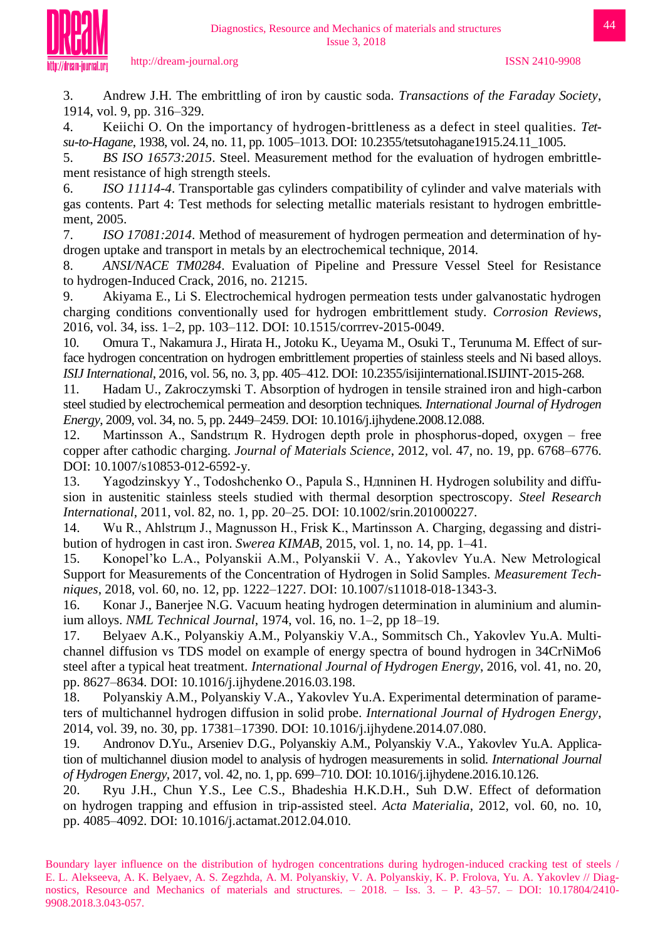

3. Andrew J.H. The embrittling of iron by caustic soda. *Transactions of the Faraday Society*, 1914, vol. 9, pp. 316–329.

4. Keiichi O. On the importancy of hydrogen-brittleness as a defect in steel qualities. *Tetsu-to-Hagane*, 1938, vol. 24, no. 11, pp. 1005–1013. DOI: 10.2355/tetsutohagane1915.24.11\_1005.

5. *BS ISO 16573:2015*. Steel. Measurement method for the evaluation of hydrogen embrittlement resistance of high strength steels.

6. *ISO 11114-4*. Transportable gas cylinders compatibility of cylinder and valve materials with gas contents. Part 4: Test methods for selecting metallic materials resistant to hydrogen embrittlement, 2005.

7. *ISO 17081:2014*. Method of measurement of hydrogen permeation and determination of hydrogen uptake and transport in metals by an electrochemical technique, 2014.

8. *ANSI/NACE TM0284*. Evaluation of Pipeline and Pressure Vessel Steel for Resistance to hydrogen-Induced Crack, 2016, no. 21215.

9. Akiyama E., Li S. Electrochemical hydrogen permeation tests under galvanostatic hydrogen charging conditions conventionally used for hydrogen embrittlement study. *Corrosion Reviews*, 2016, vol. 34, iss. 1–2, pp. 103–112. DOI: 10.1515/corrrev-2015-0049.

10. Omura T., Nakamura J., Hirata H., Jotoku K., Ueyama M., Osuki T., Terunuma M. Effect of surface hydrogen concentration on hydrogen embrittlement properties of stainless steels and Ni based alloys. *ISIJ International*, 2016, vol. 56, no. 3, pp. 405–412. DOI: 10.2355/isijinternational.ISIJINT-2015-268.

11. Hadam U., Zakroczymski T. Absorption of hydrogen in tensile strained iron and high-carbon steel studied by electrochemical permeation and desorption techniques*. International Journal of Hydrogen Energy*, 2009, vol. 34, no. 5, pp. 2449–2459. DOI: 10.1016/j.ijhydene.2008.12.088.

12. Martinsson A., Sandstrцm R. Hydrogen depth prole in phosphorus-doped, oxygen – free copper after cathodic charging. *Journal of Materials Science*, 2012, vol. 47, no. 19, pp. 6768–6776. DOI: 10.1007/s10853-012-6592-y.

13. Yagodzinskyy Y., Todoshchenko O., Papula S., Hдnninen H. Hydrogen solubility and diffusion in austenitic stainless steels studied with thermal desorption spectroscopy. *Steel Research International*, 2011, vol. 82, no. 1, pp. 20–25. DOI: 10.1002/srin.201000227.

14. Wu R., Ahlstrцm J., Magnusson H., Frisk K., Martinsson A. Charging, degassing and distribution of hydrogen in cast iron. *Swerea KIMAB*, 2015, vol. 1, no. 14, pp. 1–41.

15. Konopel'ko L.A., Polyanskii A.M., Polyanskii V. A., Yakovlev Yu.A. New Metrological Support for Measurements of the Concentration of Hydrogen in Solid Samples. *Measurement Techniques*, 2018, vol. 60, no. 12, pp. 1222–1227. DOI: 10.1007/s11018-018-1343-3.

16. Konar J., Banerjee N.G. Vacuum heating hydrogen determination in aluminium and aluminium alloys. *NML Technical Journal*, 1974, vol. 16, no. 1–2, pp 18–19.

17. Belyaev A.K., Polyanskiy A.M., Polyanskiy V.A., Sommitsch Ch., Yakovlev Yu.A. Multichannel diffusion vs TDS model on example of energy spectra of bound hydrogen in 34CrNiMo6 steel after a typical heat treatment. *International Journal of Hydrogen Energy*, 2016, vol. 41, no. 20, pp. 8627–8634. DOI: 10.1016/j.ijhydene.2016.03.198.

18. Polyanskiy A.M., Polyanskiy V.A., Yakovlev Yu.A. Experimental determination of parameters of multichannel hydrogen diffusion in solid probe. *International Journal of Hydrogen Energy*, 2014, vol. 39, no. 30, pp. 17381–17390. DOI: 10.1016/j.ijhydene.2014.07.080.

19. Andronov D.Yu., Arseniev D.G., Polyanskiy A.M., Polyanskiy V.A., Yakovlev Yu.A. Application of multichannel diusion model to analysis of hydrogen measurements in solid. *International Journal of Hydrogen Energy*, 2017, vol. 42, no. 1, pp. 699–710. DOI: 10.1016/j.ijhydene.2016.10.126.

20. Ryu J.H., Chun Y.S., Lee C.S., Bhadeshia H.K.D.H., Suh D.W. Effect of deformation on hydrogen trapping and effusion in trip-assisted steel. *Acta Materialia*, 2012, vol. 60, no. 10, pp. 4085–4092. DOI: 10.1016/j.actamat.2012.04.010.

Boundary layer influence on the distribution of hydrogen concentrations during hydrogen-induced cracking test of steels / E. L. Alekseeva, A. K. Belyaev, A. S. Zegzhda, A. M. Polyanskiy, V. A. Polyanskiy, K. P. Frolova, Yu. A. Yakovlev // Diagnostics, Resource and Mechanics of materials and structures. – 2018. – Iss. 3. – P. 43–57. – DOI: 10.17804/2410- 9908.2018.3.043-057.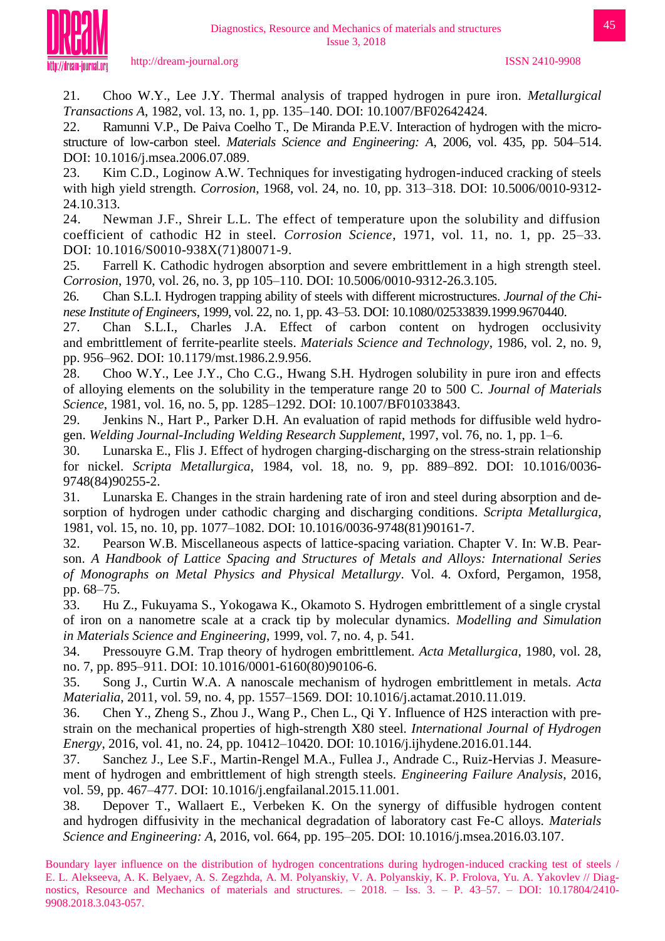

21. Choo W.Y., Lee J.Y. Thermal analysis of trapped hydrogen in pure iron. *Metallurgical Transactions A*, 1982, vol. 13, no. 1, pp. 135–140. DOI: 10.1007/BF02642424.

22. Ramunni V.P., De Paiva Coelho T., De Miranda P.E.V. Interaction of hydrogen with the microstructure of low-carbon steel. *Materials Science and Engineering: A*, 2006, vol. 435, pp. 504–514. DOI: 10.1016/j.msea.2006.07.089.

23. Kim C.D., Loginow A.W. Techniques for investigating hydrogen-induced cracking of steels with high yield strength. *Corrosion*, 1968, vol. 24, no. 10, pp. 313–318. DOI: 10.5006/0010-9312- 24.10.313.

24. Newman J.F., Shreir L.L. The effect of temperature upon the solubility and diffusion coefficient of cathodic H2 in steel. *Corrosion Science*, 1971, vol. 11, no. 1, pp. 25–33. DOI: 10.1016/S0010-938X(71)80071-9.

25. Farrell K. Cathodic hydrogen absorption and severe embrittlement in a high strength steel. *Corrosion*, 1970, vol. 26, no. 3, pp 105–110. DOI: 10.5006/0010-9312-26.3.105.

26. Chan S.L.I. Hydrogen trapping ability of steels with different microstructures. *Journal of the Chinese Institute of Engineers*, 1999, vol. 22, no. 1, pp. 43–53. DOI: 10.1080/02533839.1999.9670440.

27. Chan S.L.I., Charles J.A. Effect of carbon content on hydrogen occlusivity and embrittlement of ferrite-pearlite steels. *Materials Science and Technology*, 1986, vol. 2, no. 9, pp. 956–962. DOI: 10.1179/mst.1986.2.9.956.

28. Choo W.Y., Lee J.Y., Cho C.G., Hwang S.H. Hydrogen solubility in pure iron and effects of alloying elements on the solubility in the temperature range 20 to 500 C. *Journal of Materials Science*, 1981, vol. 16, no. 5, pp. 1285–1292. DOI: 10.1007/BF01033843.

29. Jenkins N., Hart P., Parker D.H. An evaluation of rapid methods for diffusible weld hydrogen. *Welding Journal-Including Welding Research Supplement*, 1997, vol. 76, no. 1, pp. 1–6.

30. Lunarska E., Flis J. Effect of hydrogen charging-discharging on the stress-strain relationship for nickel. *Scripta Metallurgica*, 1984, vol. 18, no. 9, pp. 889–892. DOI: 10.1016/0036- 9748(84)90255-2.

31. Lunarska E. Changes in the strain hardening rate of iron and steel during absorption and desorption of hydrogen under cathodic charging and discharging conditions. *Scripta Metallurgica*, 1981, vol. 15, no. 10, pp. 1077–1082. DOI: 10.1016/0036-9748(81)90161-7.

32. Pearson W.B. Miscellaneous aspects of lattice-spacing variation. Chapter V. In: W.B. Pearson. *A Handbook of Lattice Spacing and Structures of Metals and Alloys: International Series of Monographs on Metal Physics and Physical Metallurgy*. Vol. 4. Oxford, Pergamon, 1958, pp. 68–75.

33. Hu Z., Fukuyama S., Yokogawa K., Okamoto S. Hydrogen embrittlement of a single crystal of iron on a nanometre scale at a crack tip by molecular dynamics. *Modelling and Simulation in Materials Science and Engineering*, 1999, vol. 7, no. 4, p. 541.

34. Pressouyre G.M. Trap theory of hydrogen embrittlement. *Acta Metallurgica*, 1980, vol. 28, no. 7, pp. 895–911. DOI: 10.1016/0001-6160(80)90106-6.

35. Song J., Curtin W.A. A nanoscale mechanism of hydrogen embrittlement in metals. *Acta Materialia*, 2011, vol. 59, no. 4, pp. 1557–1569. DOI: 10.1016/j.actamat.2010.11.019.

36. Chen Y., Zheng S., Zhou J., Wang P., Chen L., Qi Y. Influence of H2S interaction with prestrain on the mechanical properties of high-strength X80 steel. *International Journal of Hydrogen Energy*, 2016, vol. 41, no. 24, pp. 10412–10420. DOI: 10.1016/j.ijhydene.2016.01.144.

37. Sanchez J., Lee S.F., Martin-Rengel M.A., Fullea J., Andrade C., Ruiz-Hervias J. Measurement of hydrogen and embrittlement of high strength steels. *Engineering Failure Analysis*, 2016, vol. 59, pp. 467–477. DOI: 10.1016/j.engfailanal.2015.11.001.

38. Depover T., Wallaert E., Verbeken K. On the synergy of diffusible hydrogen content and hydrogen diffusivity in the mechanical degradation of laboratory cast Fe-C alloys. *Materials Science and Engineering: A*, 2016, vol. 664, pp. 195–205. DOI: 10.1016/j.msea.2016.03.107.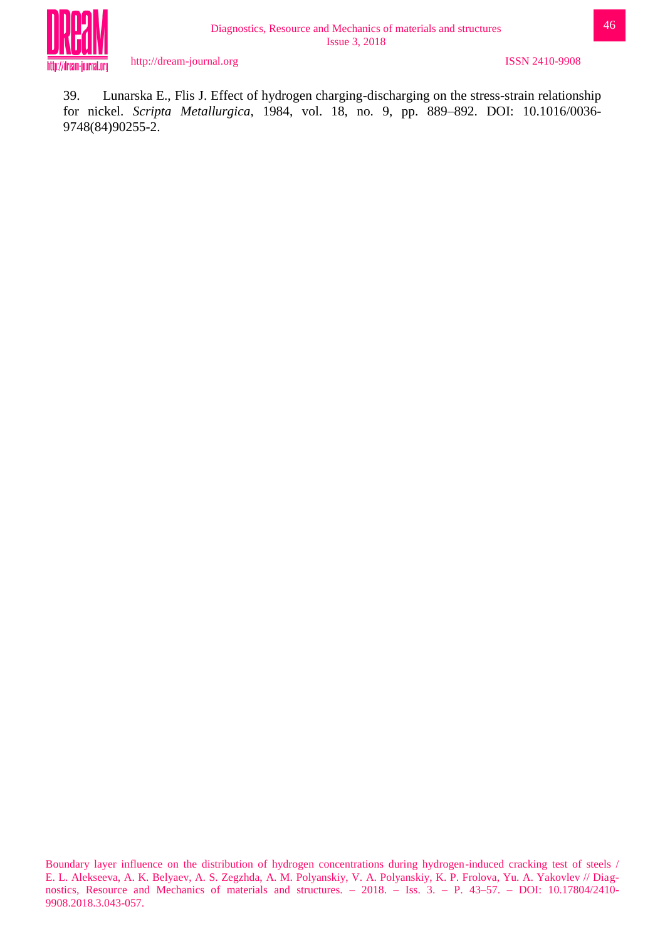

39. Lunarska E., Flis J. Effect of hydrogen charging-discharging on the stress-strain relationship for nickel. *Scripta Metallurgica*, 1984, vol. 18, no. 9, pp. 889–892. DOI: 10.1016/0036- 9748(84)90255-2.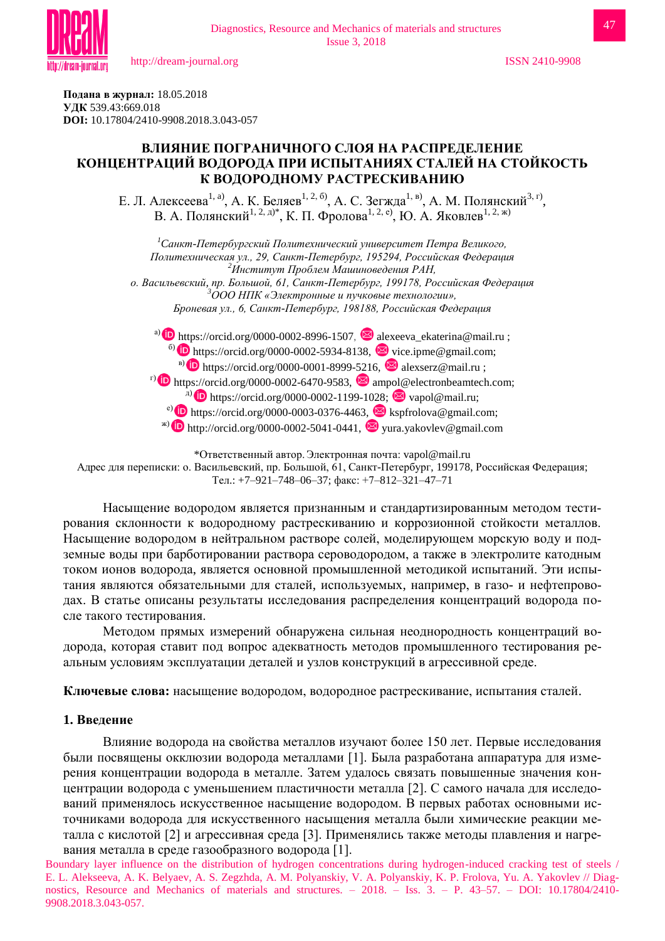

**Подана в журнал:** 18.05.2018 **УДК** 539.43:669.018 **DOI:** 10.17804/2410-9908.2018.3.043-057

## **ВЛИЯНИЕ ПОГРАНИЧНОГО СЛОЯ НА РАСПРЕДЕЛЕНИЕ КОНЦЕНТРАЦИЙ ВОДОРОДА ПРИ ИСПЫТАНИЯХ СТАЛЕЙ НА СТОЙКОСТЬ К ВОДОРОДНОМУ РАСТРЕСКИВАНИЮ**

Diagnostics, Resource and Mechanics of materials and structures Issue 3, 2018

Е. Л. Алексеева<sup>1, а)</sup>, А. К. Беляев<sup>1, 2, б)</sup>, А. С. Зегжда<sup>1, в)</sup>, А. М. Полянский<sup>3, г)</sup>, В. А. Полянский<sup>1, 2, д)\*</sup>, К. П. Фролова<sup>1, 2, е)</sup>, Ю. А. Яковлев<sup>1, 2, ж)</sup>

*<sup>1</sup>Cанкт-Петербургский Политехнический университет Петра Великого, Политехническая ул., 29, Санкт-Петербург, 195294, Российская Федерация <sup>2</sup>Институт Проблем Машиноведения РАН, о. Васильевский, пр. Большой, 61, Санкт-Петербург, 199178, Российская Федерация <sup>3</sup>ООО НПК «Электронные и пучковые технологии», Броневая ул., 6, Санкт-Петербург, 198188, Российская Федерация*

a) **D** https://orcid.org/0000-0002-8996-1507,  $\blacksquare$  alexeeva\_ekaterina@mail.ru ;  $\bullet$  https://orcid.org/0000-0002-5934-8138,  $\bullet$  vice.ipme@gmail.com; <sup>B)</sup> **b** https://orcid.org/0000-0001-8999-5216,  $\blacksquare$  alexserz@mail.ru ;  $\overline{P}$  https://orcid.org/0000-0002-6470-9583,  $\overline{Q}$  ampol@electronbeamtech.com;  $\text{Lip}$  https://orcid.org/0000-0002-1199-1028;  $\text{Lip}$  vapol@mail.ru; e) **D** https://orcid.org/0000-0003-0376-4463,  $\blacksquare$  kspfrolova@gmail.com;  $\bullet$  [http://orcid.org/0000-0002-5041-0441,](https://www.scopus.com/redirect.uri?url=http://www.orcid.org/0000-0002-5041-0441&authorId=36190344700&origin=AuthorProfile&orcId=0000-0002-5041-0441&category=orcidLink)  $\bullet$  yura.yakovlev@gmail.com

\*Ответственный автор.Электронная почта: vapol@mail.ru Адрес для переписки: о. Васильевский, пр. Большой, 61, Санкт-Петербург, 199178, Российская Федерация; Тел.: +7–921–748–06–37; факс: +7–812–321–47–71

Насыщение водородом является признанным и стандартизированным методом тестирования склонности к водородному растрескиванию и коррозионной стойкости металлов. Насыщение водородом в нейтральном растворе солей, моделирующем морскую воду и подземные воды при барботировании раствора сероводородом, а также в электролите катодным током ионов водорода, является основной промышленной методикой испытаний. Эти испытания являются обязательными для сталей, используемых, например, в газо- и нефтепроводах. В статье описаны результаты исследования распределения концентраций водорода после такого тестирования.

Методом прямых измерений обнаружена сильная неоднородность концентраций водорода, которая ставит под вопрос адекватность методов промышленного тестирования реальным условиям эксплуатации деталей и узлов конструкций в агрессивной среде.

**Ключевые слова:** насыщение водородом, водородное растрескивание, испытания сталей.

#### **1. Введение**

Влияние водорода на свойства металлов изучают более 150 лет. Первые исследования были посвящены окклюзии водорода металлами [1]. Была разработана аппаратура для измерения концентрации водорода в металле. Затем удалось связать повышенные значения концентрации водорода с уменьшением пластичности металла [2]. С самого начала для исследований применялось искусственное насыщение водородом. В первых работах основными источниками водорода для искусственного насыщения металла были химические реакции металла c кислотой [2] и агрессивная среда [3]. Применялись также методы плавления и нагревания металла в среде газообразного водорода [1].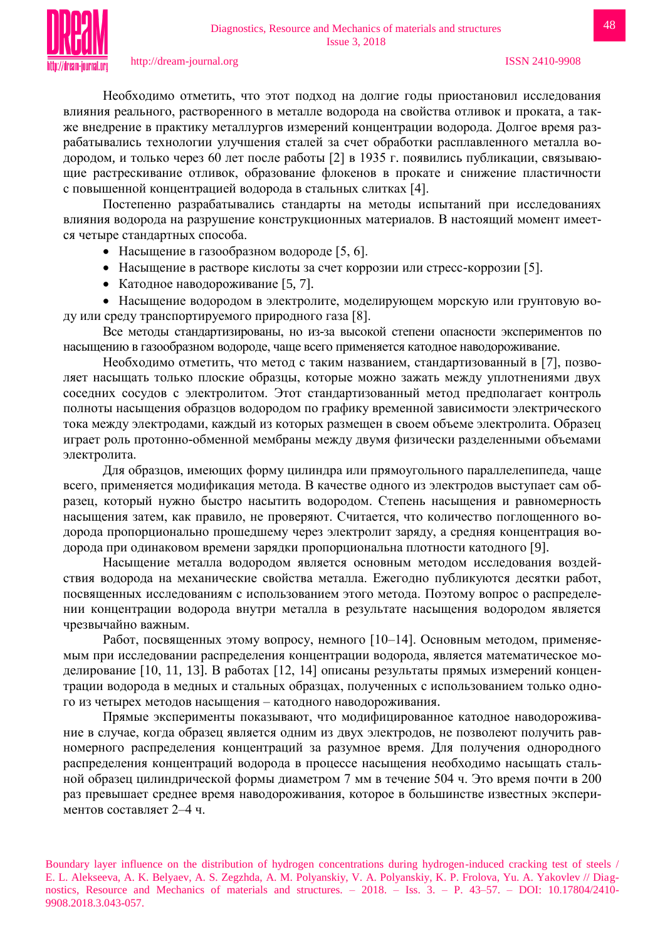

Необходимо отметить, что этот подход на долгие годы приостановил исследования влияния реального, растворенного в металле водорода на свойства отливок и проката, а также внедрение в практику металлургов измерений концентрации водорода. Долгое время разрабатывались технологии улучшения сталей за счет обработки расплавленного металла водородом, и только через 60 лет после работы [2] в 1935 г. появились публикации, связывающие растрескивание отливок, образование флокенов в прокате и снижение пластичности с повышенной концентрацией водорода в стальных слитках [4].

Постепенно разрабатывались стандарты на методы испытаний при исследованиях влияния водорода на разрушение конструкционных материалов. В настоящий момент имеется четыре стандартных способа.

- $\bullet$  Насыщение в газообразном водороде [5, 6].
- Насыщение в растворе кислоты за счет коррозии или стресс-коррозии [5].
- Катодное наводороживание [5, 7].

 Насыщение водородом в электролите, моделирующем морскую или грунтовую воду или среду транспортируемого природного газа [8].

Все методы стандартизированы, но из-за высокой степени опасности экспериментов по насыщению в газообразном водороде, чаще всего применяется катодное наводороживание.

Необходимо отметить, что метод с таким названием, стандартизованный в [7], позволяет насыщать только плоские образцы, которые можно зажать между уплотнениями двух соседних сосудов с электролитом. Этот стандартизованный метод предполагает контроль полноты насыщения образцов водородом по графику временной зависимости электрического тока между электродами, каждый из которых размещен в своем объеме электролита. Образец играет роль протонно-обменной мембраны между двумя физически разделенными объемами электролита.

Для образцов, имеющих форму цилиндра или прямоугольного параллелепипеда, чаще всего, применяется модификация метода. В качестве одного из электродов выступает сам образец, который нужно быстро насытить водородом. Степень насыщения и равномерность насыщения затем, как правило, не проверяют. Считается, что количество поглощенного водорода пропорционально прошедшему через электролит заряду, а средняя концентрация водорода при одинаковом времени зарядки пропорциональна плотности катодного [9].

Насыщение металла водородом является основным методом исследования воздействия водорода на механические свойства металла. Ежегодно публикуются десятки работ, посвященных исследованиям с использованием этого метода. Поэтому вопрос о распределении концентрации водорода внутри металла в результате насыщения водородом является чрезвычайно важным.

Работ, посвященных этому вопросу, немного [10–14]. Основным методом, применяемым при исследовании распределения концентрации водорода, является математическое моделирование [10, 11, 13]. В работах [12, 14] описаны результаты прямых измерений концентрации водорода в медных и стальных образцах, полученных с использованием только одного из четырех методов насыщения – катодного наводороживания.

Прямые эксперименты показывают, что модифицированное катодное наводороживание в случае, когда образец является одним из двух электродов, не позволеют получить равномерного распределения концентраций за разумное время. Для получения однородного распределения концентраций водорода в процессе насыщения необходимо насыщать стальной образец цилиндрической формы диаметром 7 мм в течение 504 ч. Это время почти в 200 раз превышает среднее время наводороживания, которое в большинстве известных экспериментов составляет 2–4 ч.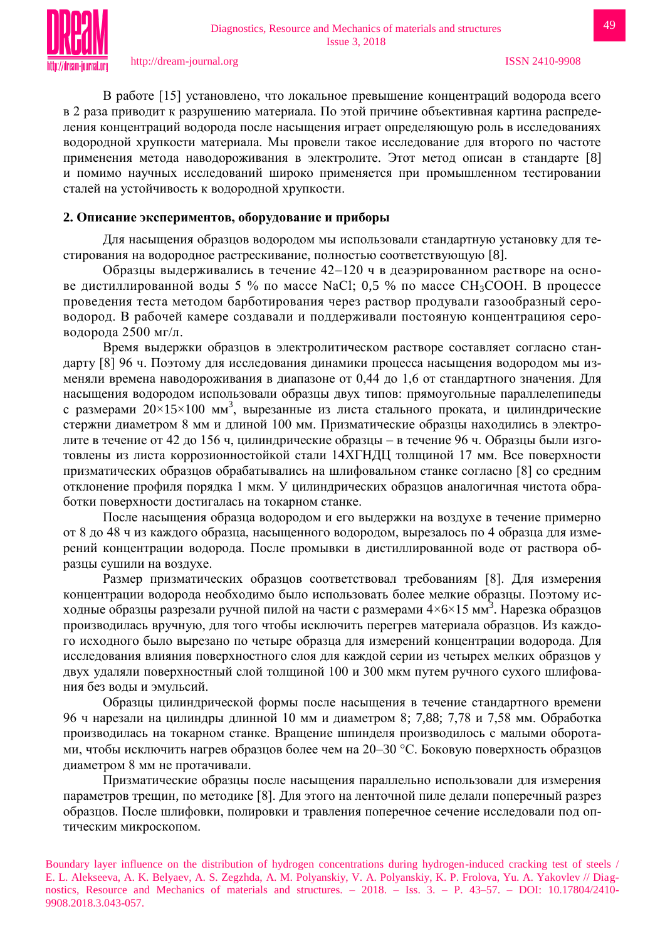В работe [15] установлено, что локальное превышение концентраций водорода всего в 2 раза приводит к разрушению материала. По этой причине объективная картина распределения концентраций водорода после насыщения играет определяющую роль в исследованиях водородной хрупкости материала. Мы провели такое исследование для второго по частоте применения метода наводороживания в электролите. Этот метод описан в стандарте [8] и помимо научных исследований широко применяется при промышленном тестировании сталей на устойчивость к водородной хрупкости.

#### **2. Описание экспериментов, оборудование и приборы**

Для насыщения образцов водородом мы использовали стандартную установку для тестирования на водородное растрескивание, полностью соответствующую [8].

Образцы выдерживались в течение 42–120 ч в деаэрированном растворе на основе дистиллированной воды 5 % по массе NaCl; 0,5 % по массе  $CH_3COOH$ . В процессе проведения теста методом барботирования через раствор продували газообразный сероводород. В рабочей камере создавали и поддерживали постояную концентрациюя сероводорода 2500 мг/л.

Время выдержки образцов в электролитическом растворе составляет согласно стандарту [8] 96 ч. Поэтому для исследования динамики процесса насыщения водородом мы изменяли времена наводороживания в диапазоне от 0,44 до 1,6 от стандартного значения. Для насыщения водородом использовали образцы двух типов: прямоугольные параллелепипеды с размерами  $20\times15\times100$  мм<sup>3</sup>, вырезанные из листа стального проката, и цилиндрические стержни диаметром 8 мм и длиной 100 мм. Призматические образцы находились в электролите в течение от 42 до 156 ч, цилиндрические образцы – в течение 96 ч. Образцы были изготовлены из листа коррозионностойкой стали 14ХГНДЦ толщиной 17 мм. Все поверхности призматических образцов обрабатывались на шлифовальном станке согласно [8] со средним отклонение профиля порядка 1 мкм. У цилиндрических образцов аналогичная чистота обработки поверхности достигалась на токарном станке.

После насыщения образца водородом и его выдержки на воздухе в течение примерно от 8 до 48 ч из каждого образца, насыщенного водородом, вырезалось по 4 образца для измерений концентрации водорода. После промывки в дистиллированной воде от раствора образцы сушили на воздухе.

Размер призматических образцов соответствовал требованиям [8]. Для измерения концентрации водорода необходимо было использовать более мелкие образцы. Поэтому исходные образцы разрезали ручной пилой на части с размерами 4×6×15 мм<sup>3</sup>. Нарезка образцов производилась вручную, для того чтобы исключить перегрев материала образцов. Из каждого исходного было вырезано по четыре образца для измерений концентрации водорода. Для исследования влияния поверхностного слоя для каждой серии из четырех мелких образцов у двух удаляли поверхностный слой толщиной 100 и 300 мкм путем ручного сухого шлифования без воды и эмульсий.

Образцы цилиндрической формы после насыщения в течение стандартного времени 96 ч нарезали на цилиндры длинной 10 мм и диаметром 8; 7,88; 7,78 и 7,58 мм. Обработка производилась на токарном станке. Вращение шпинделя производилось с малыми оборотами, чтобы исключить нагрев образцов более чем на 20–30 °С. Боковую поверхность образцов диаметром 8 мм не протачивали.

Призматические образцы после насыщения параллельно использовали для измерения параметров трещин, по методике [8]. Для этого на ленточной пиле делали поперечный разрез образцов. После шлифовки, полировки и травления поперечное сечение исследовали под оптическим микроскопом.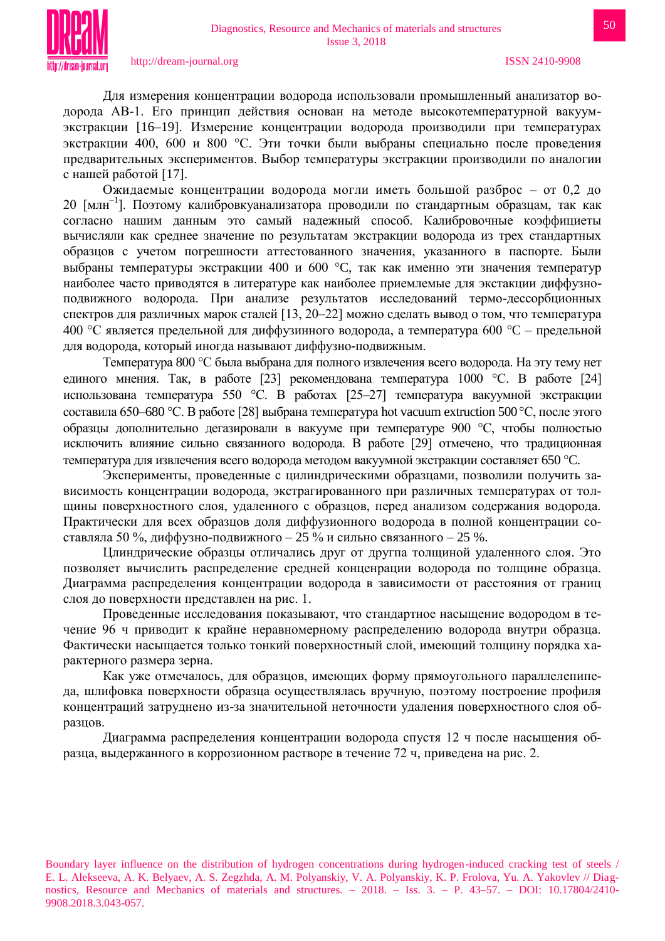

Для измерения концентрации водорода использовали промышленный анализатор водорода АВ-1. Его принцип действия основан на методе высокотемпературной вакуумэкстракции [16–19]. Измерение концентрации водорода производили при температурах экстракции 400, 600 и 800 °С. Эти точки были выбраны специально после проведения предварительных экспериментов. Выбор температуры экстракции производили по аналогии с нашей работой [17].

Ожидаемые концентрации водорода могли иметь большой разброс – от 0,2 до 20 [млн–1 ]. Поэтому калибровкуанализатора проводили по стандартным образцам, так как согласно нашим данным это самый надежный способ. Калибровочные коэффициеты вычисляли как среднее значение по результатам экстракции водорода из трех стандартных образцов с учетом погрешности аттестованного значения, указанного в паспорте. Были выбраны температуры экстракции 400 и 600 °С, так как именно эти значения температур наиболее часто приводятся в литературе как наиболее приемлемые для экстакции диффузноподвижного водорода. При анализе результатов исследований термо-дессорбционных спектров для различных марок сталей [13, 20–22] можно сделать вывод о том, что температура 400 °С является предельной для диффузинного водорода, а температура 600 °С – предельной для водорода, который иногда называют диффузно-подвижным.

Температура 800 C была выбрана для полного извлечения всего водорода. На эту тему нет единого мнения. Так, в работе [23] рекомендована температура 1000 °С. В работе [24] использована температура 550 °С. В работах [25–27] температура вакуумной экстракции составила 650–680 °С. В работе [28] выбрана температура hot vacuum extruction 500 °С, после этого образцы дополнительно дегазировали в вакууме при температуре 900 C, чтобы полностью исключить влияние сильно связанного водорода. В работе [29] отмечено, что традиционная температура для извлечения всего водорода методом вакуумной экстракции составляет 650 °С.

Эксперименты, проведенные с цилиндрическими образцами, позволили получить зависимость концентрации водорода, экстрагированного при различных температурах от толщины поверхностного слоя, удаленного с образцов, перед анализом содержания водорода. Практически для всех образцов доля диффузионного водорода в полной концентрации составляла 50 %, диффузно-подвижного – 25 % и сильно связанного – 25 %.

Цлиндрические образцы отличались друг от другпа толщиной удаленного слоя. Это позволяет вычислить распределение средней конценрации водорода по толщине образца. Диаграмма распределения концентрации водорода в зависимости от расстояния от границ слоя до поверхности представлен на рис. 1.

Проведенные исследования показывают, что стандартное насыщение водородом в течение 96 ч приводит к крайне неравномерному распределению водорода внутри образца. Фактически насыщается только тонкий поверхностный слой, имеющий толщину порядка характерного размера зерна.

Как уже отмечалось, для образцов, имеющих форму прямоугольного параллелепипеда, шлифовка поверхности образца осуществлялась вручную, поэтому построение профиля концентраций затруднено из-за значительной неточности удаления поверхностного слоя образцов.

Диаграмма распределения концентрации водорода спустя 12 ч после насыщения образца, выдержанного в коррозионном растворе в течение 72 ч, приведена на рис. 2.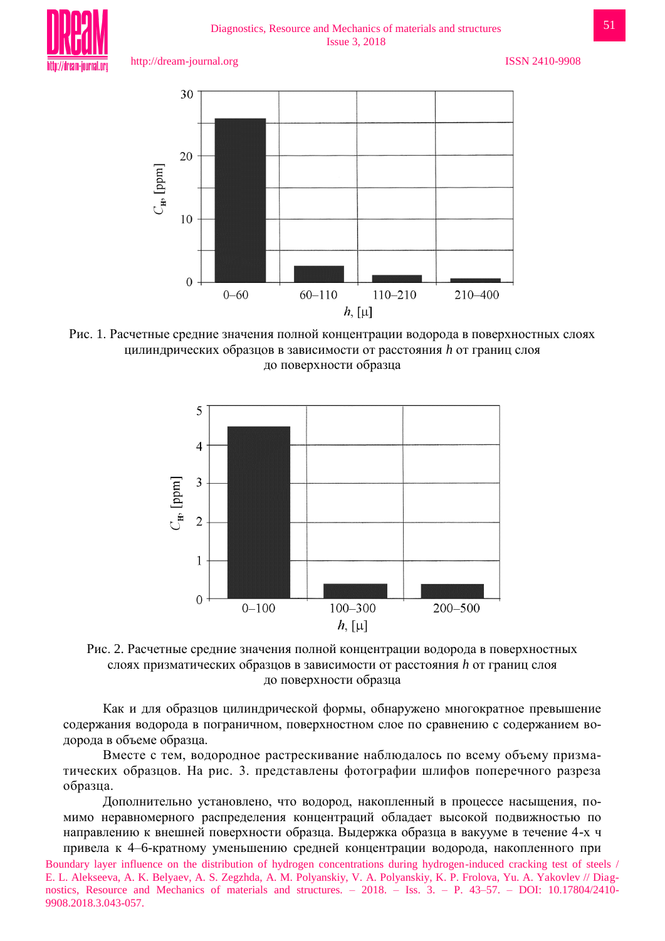Diagnostics, Resource and Mechanics of materials and structures Issue 3, 2018

http://dream-journal.org ISSN 2410-9908



Рис. 1. Расчетные средние значения полной концентрации водорода в поверхностных слоях цилиндрических образцов в зависимости от расстояния *h* от границ слоя до поверхности образца





Как и для образцов цилиндрической формы, обнаружено многократное превышение содержания водорода в пограничном, поверхностном слое по сравнению с содержанием водорода в объеме образца.

Вместе с тем, водородное растрескивание наблюдалось по всему объему призматических образцов. На рис. 3. представлены фотографии шлифов поперечного разреза образца.

Дополнительно установлено, что водород, накопленный в процессе насыщения, помимо неравномерного распределения концентраций обладает высокой подвижностью по направлению к внешней поверхности образца. Выдержка образца в вакууме в течение 4-х ч привела к 4–6-кратному уменьшению средней концентрации водорода, накопленного при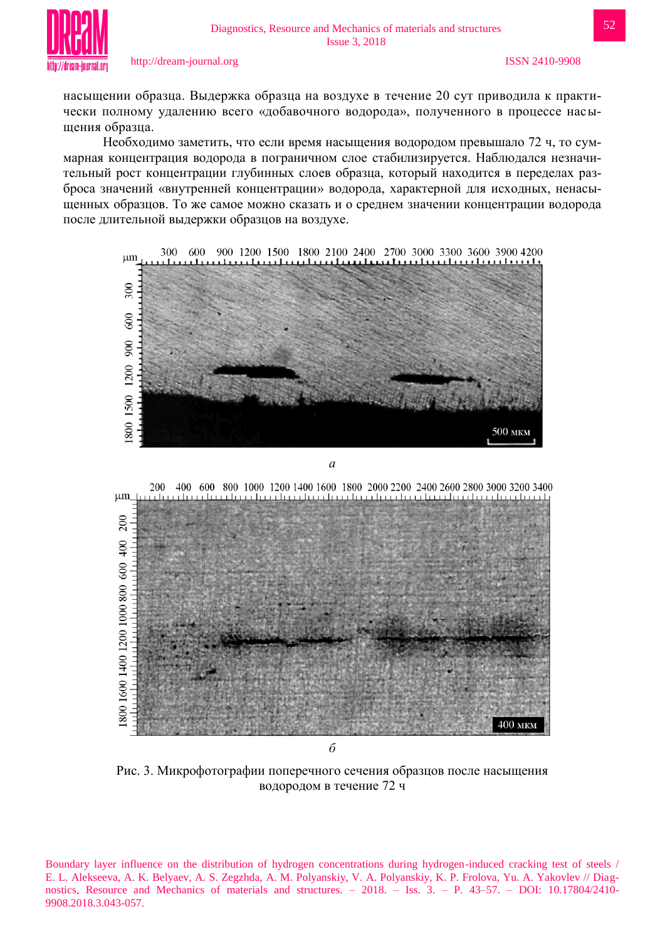

насыщении образца. Выдержка образца на воздухе в течение 20 сут приводила к практически полному удалению всего «добавочного водорода», полученного в процессе насыщения образца.

Необходимо заметить, что если время насыщения водородом превышало 72 ч, то суммарная концентрация водорода в пограничном слое стабилизируется. Наблюдался незначительный рост концентрации глубинных слоев образца, который находится в переделах разброса значений «внутренней концентрации» водорода, характерной для исходных, ненасыщенных образцов. То же самое можно сказать и о среднем значении концентрации водорода после длительной выдержки образцов на воздухе.



Рис. 3. Микрофотографии поперечного сечения образцов после насыщения водородом в течение 72 ч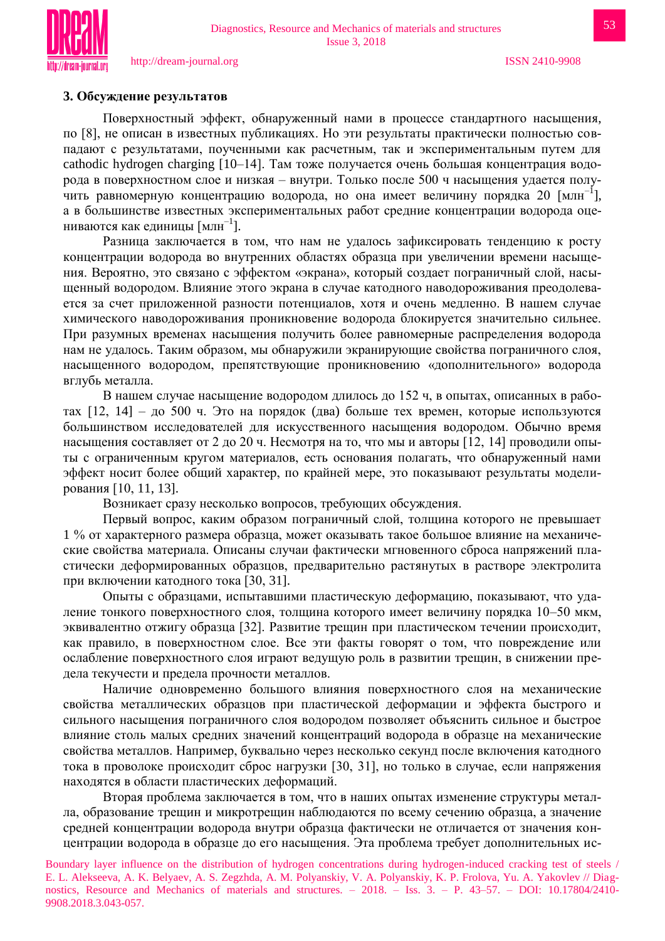

#### **3. Обсуждение результатов**

Поверхностный эффект, обнаруженный нами в процессе стандартного насыщения, по [8], не описан в известных публикациях. Но эти результаты практически полностью совпадают с результатами, поученными как расчетным, так и экспериментальным путем для cathodic hydrogen charging [10–14]. Там тоже получается очень большая концентрация водорода в поверхностном слое и низкая – внутри. Только после 500 ч насыщения удается получить равномерную концентрацию водорода, но она имеет величину порядка 20 [млн–1 ], а в большинстве известных экспериментальных работ средние концентрации водорода оцениваются как единицы  $\text{[MJIH}^{-1}]$ .

Разница заключается в том, что нам не удалось зафиксировать тенденцию к росту концентрации водорода во внутренних областях образца при увеличении времени насыщения. Вероятно, это связано с эффектом «экрана», который создает пограничный слой, насыщенный водородом. Влияние этого экрана в случае катодного наводороживания преодолевается за счет приложенной разности потенциалов, хотя и очень медленно. В нашем случае химического наводороживания проникновение водорода блокируется значительно сильнее. При разумных временах насыщения получить более равномерные распределения водорода нам не удалось. Таким образом, мы обнаружили экранирующие свойства пограничного слоя, насыщенного водородом, препятствующие проникновению «дополнительного» водорода вглубь металла.

В нашем случае насыщение водородом длилось до 152 ч, в опытах, описанных в работах [12, 14] – до 500 ч. Это на порядок (два) больше тех времен, которые используются большинством исследователей для искусственного насыщения водородом. Обычно время насыщения составляет от 2 до 20 ч. Несмотря на то, что мы и авторы [12, 14] проводили опыты с ограниченным кругом материалов, есть основания полагать, что обнаруженный нами эффект носит более общий характер, по крайней мере, это показывают результаты моделирования [10, 11, 13].

Возникает сразу несколько вопросов, требующих обсуждения.

Первый вопрос, каким образом пограничный слой, толщина которого не превышает 1 % от характерного размера образца, может оказывать такое большое влияние на механические свойства материала. Описаны случаи фактически мгновенного сброса напряжений пластически деформированных образцов, предварительно растянутых в растворе электролита при включении катодного тока [30, 31].

Опыты с образцами, испытавшими пластическую деформацию, показывают, что удаление тонкого поверхностного слоя, толщина которого имеет величину порядка 10–50 мкм, эквивалентно отжигу образца [32]. Развитие трещин при пластическом течении происходит, как правило, в поверхностном слое. Все эти факты говорят о том, что повреждение или ослабление поверхностного слоя играют ведущую роль в развитии трещин, в снижении предела текучести и предела прочности металлов.

Наличие одновременно большого влияния поверхностного слоя на механические свойства металлических образцов при пластической деформации и эффекта быстрого и сильного насыщения пограничного слоя водородом позволяет объяснить сильное и быстрое влияние столь малых средних значений концентраций водорода в образце на механические свойства металлов. Например, буквально через несколько секунд после включения катодного тока в проволоке происходит сброс нагрузки [30, 31], но только в случае, если напряжения находятся в области пластических деформаций.

Вторая проблема заключается в том, что в наших опытах изменение структуры металла, образование трещин и микротрещин наблюдаются по всему сечению образца, а значение средней концентрации водорода внутри образца фактически не отличается от значения концентрации водорода в образце до его насыщения. Эта проблема требует дополнительных ис-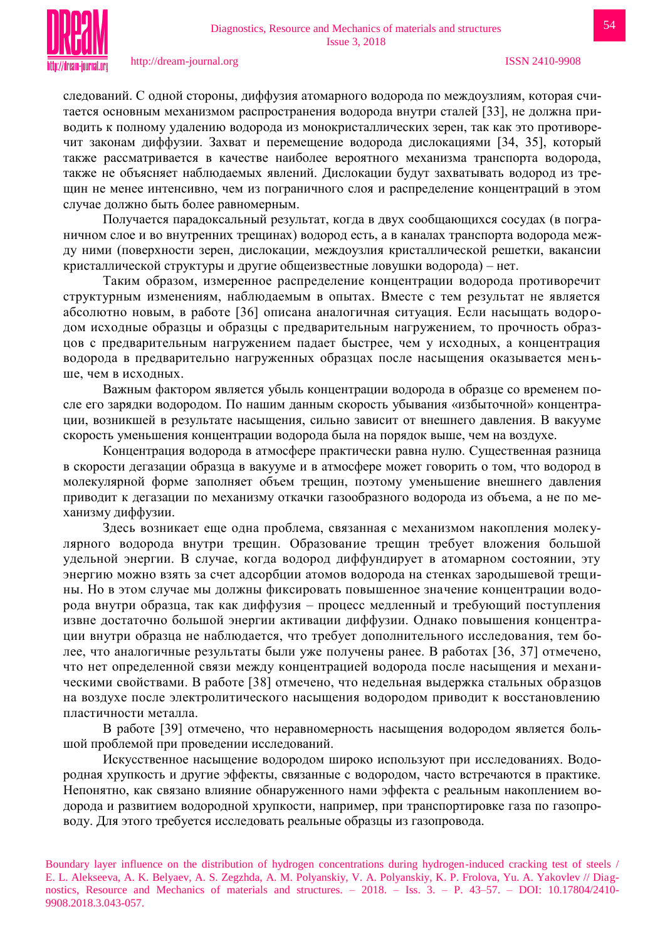

следований. С одной стороны, диффузия атомарного водорода по междоузлиям, которая считается основным механизмом распространения водорода внутри сталей [33], не должна приводить к полному удалению водорода из монокристаллических зерен, так как это противоречит законам диффузии. Захват и перемещение водорода дислокациями [34, 35], который также рассматривается в качестве наиболее вероятного механизма транспорта водорода, также не объясняет наблюдаемых явлений. Дислокации будут захватывать водород из трещин не менее интенсивно, чем из пограничного слоя и распределение концентраций в этом случае должно быть более равномерным.

Получается парадоксальный результат, когда в двух сообщающихся сосудах (в пограничном слое и во внутренних трещинах) водород есть, а в каналах транспорта водорода между ними (поверхности зерен, дислокации, междоузлия кристаллической решетки, вакансии кристаллической структуры и другие общеизвестные ловушки водорода) – нет.

Таким образом, измеренное распределение концентрации водорода противоречит структурным изменениям, наблюдаемым в опытах. Вместе с тем результат не является абсолютно новым, в работе [36] описана аналогичная ситуация. Если насыщать водородом исходные образцы и образцы с предварительным нагружением, то прочность образцов с предварительным нагружением падает быстрее, чем у исходных, а концентрация водорода в предварительно нагруженных образцах после насыщения оказывается меньше, чем в исходных.

Важным фактором является убыль концентрации водорода в образце со временем после его зарядки водородом. По нашим данным скорость убывания «избыточной» концентрации, возникшей в результате насыщения, сильно зависит от внешнего давления. В вакууме скорость уменьшения концентрации водорода была на порядок выше, чем на воздухе.

Концентрация водорода в атмосфере практически равна нулю. Существенная разница в скорости дегазации образца в вакууме и в атмосфере может говорить о том, что водород в молекулярной форме заполняет объем трещин, поэтому уменьшение внешнего давления приводит к дегазации по механизму откачки газообразного водорода из объема, а не по механизму диффузии.

Здесь возникает еще одна проблема, связанная с механизмом накопления молекулярного водорода внутри трещин. Образование трещин требует вложения большой удельной энергии. В случае, когда водород диффундирует в атомарном состоянии, эту энергию можно взять за счет адсорбции атомов водорода на стенках зародышевой трещины. Но в этом случае мы должны фиксировать повышенное значение концентрации водорода внутри образца, так как диффузия – процесс медленный и требующий поступления извне достаточно большой энергии активации диффузии. Однако повышения концентрации внутри образца не наблюдается, что требует дополнительного исследования, тем более, что аналогичные результаты были уже получены ранее. В работах [36, 37] отмечено, что нет определенной связи между концентрацией водорода после насыщения и механическими свойствами. В работе [38] отмечено, что недельная выдержка стальных образцов на воздухе после электролитического насыщения водородом приводит к восстановлению пластичности металла.

В работе [39] отмечено, что неравномерность насыщения водородом является большой проблемой при проведении исследований.

Искусственное насыщение водородом широко используют при исследованиях. Водородная хрупкость и другие эффекты, связанные с водородом, часто встречаются в практике. Непонятно, как связано влияние обнаруженного нами эффекта с реальным накоплением водорода и развитием водородной хрупкости, например, при транспортировке газа по газопроводу. Для этого требуется исследовать реальные образцы из газопровода.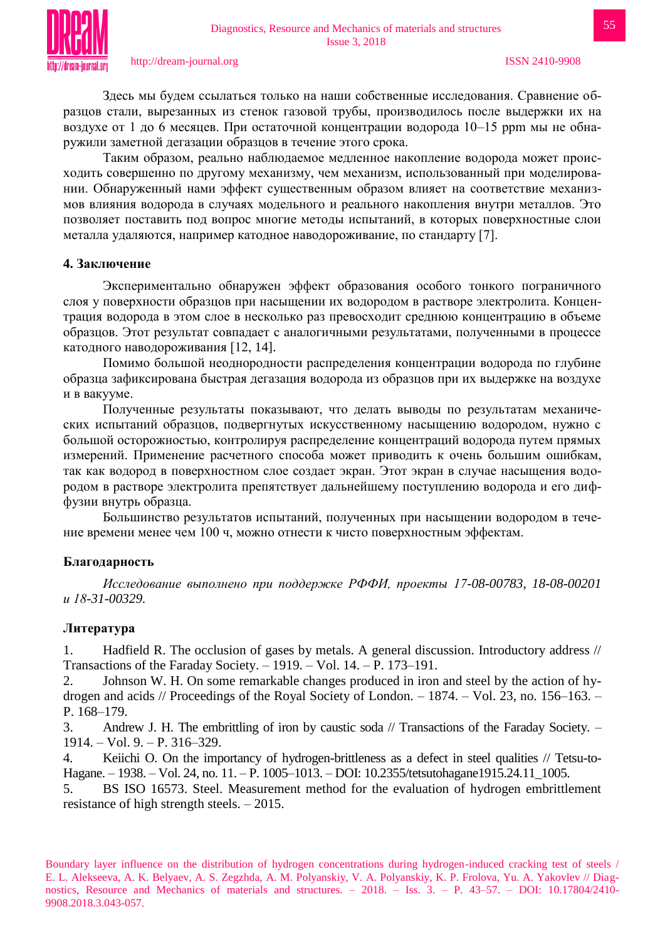Таким образом, реально наблюдаемое медленное накопление водорода может происходить совершенно по другому механизму, чем механизм, использованный при моделировании. Обнаруженный нами эффект существенным образом влияет на соответствие механизмов влияния водорода в случаях модельного и реального накопления внутри металлов. Это позволяет поставить под вопрос многие методы испытаний, в которых поверхностные слои металла удаляются, например катодное наводороживание, по стандарту [7].

## **4. Заключение**

Экспериментально обнаружен эффект образования особого тонкого пограничного слоя у поверхности образцов при насыщении их водородом в растворе электролита. Концентрация водорода в этом слое в несколько раз превосходит среднюю концентрацию в объеме образцов. Этот результат совпадает с аналогичными результатами, полученными в процессе катодного наводороживания [12, 14].

Помимо большой неоднородности распределения концентрации водорода по глубине образца зафиксирована быстрая дегазация водорода из образцов при их выдержке на воздухе и в вакууме.

Полученные результаты показывают, что делать выводы по результатам механических испытаний образцов, подвергнутых искусственному насыщению водородом, нужно с большой осторожностью, контролируя распределение концентраций водорода путем прямых измерений. Применение расчетного способа может приводить к очень большим ошибкам, так как водород в поверхностном слое создает экран. Этот экран в случае насыщения водородом в растворе электролита препятствует дальнейшему поступлению водорода и его диффузии внутрь образца.

Большинство результатов испытаний, полученных при насыщении водородом в течение времени менее чем 100 ч, можно отнести к чисто поверхностным эффектам.

# **Благодарность**

*Исследование выполнено при поддержке РФФИ, проекты 17-08-00783, 18-08-00201 и 18-31-00329.*

## **Литература**

1. Hadfield R. The occlusion of gases by metals. A general discussion. Introductory address // Transactions of the Faraday Society. – 1919. – Vol. 14. – P. 173–191.

2. Johnson W. H. On some remarkable changes produced in iron and steel by the action of hydrogen and acids // Proceedings of the Royal Society of London. – 1874. – Vol. 23, no. 156–163. – P. 168–179.

3. Andrew J. H. The embrittling of iron by caustic soda // Transactions of the Faraday Society. – 1914. – Vol. 9. – P. 316–329.

4. Keiichi O. On the importancy of hydrogen-brittleness as a defect in steel qualities // Tetsu-to-Hagane. – 1938. – Vol. 24, no. 11. – P. 1005–1013. – DOI: 10.2355/tetsutohagane1915.24.11\_1005.

5. BS ISO 16573. Steel. Measurement method for the evaluation of hydrogen embrittlement resistance of high strength steels. – 2015.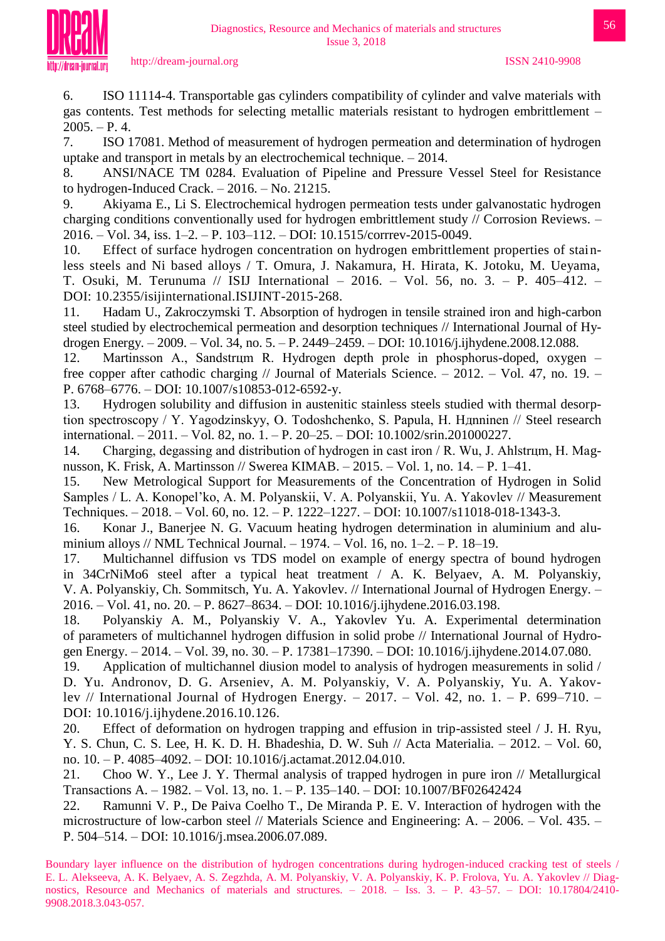

6. ISO 11114-4. Transportable gas cylinders compatibility of cylinder and valve materials with gas contents. Test methods for selecting metallic materials resistant to hydrogen embrittlement –  $2005. - P. 4.$ 

7. ISO 17081. Method of measurement of hydrogen permeation and determination of hydrogen uptake and transport in metals by an electrochemical technique. – 2014.

8. ANSI/NACE TM 0284. Evaluation of Pipeline and Pressure Vessel Steel for Resistance to hydrogen-Induced Crack. – 2016. – No. 21215.

9. Akiyama E., Li S. Electrochemical hydrogen permeation tests under galvanostatic hydrogen charging conditions conventionally used for hydrogen embrittlement study // Corrosion Reviews. – 2016. – Vol. 34, iss. 1–2. – P. 103–112. – DOI: 10.1515/corrrev-2015-0049.

10. Effect of surface hydrogen concentration on hydrogen embrittlement properties of stainless steels and Ni based alloys / T. Omura, J. Nakamura, H. Hirata, K. Jotoku, M. Ueyama, T. Osuki, M. Terunuma // ISIJ International – 2016. – Vol. 56, no. 3. – P. 405–412. – DOI: 10.2355/isijinternational.ISIJINT-2015-268.

11. Hadam U., Zakroczymski T. Absorption of hydrogen in tensile strained iron and high-carbon steel studied by electrochemical permeation and desorption techniques // International Journal of Hydrogen Energy. – 2009. – Vol. 34, no. 5. – P. 2449–2459. – DOI: 10.1016/j.ijhydene.2008.12.088.

12. Martinsson A., Sandstrцm R. Hydrogen depth prole in phosphorus-doped, oxygen – free copper after cathodic charging // Journal of Materials Science. – 2012. – Vol. 47, no. 19. – P. 6768–6776. – DOI: 10.1007/s10853-012-6592-y.

13. Hydrogen solubility and diffusion in austenitic stainless steels studied with thermal desorption spectroscopy / Y. Yagodzinskyy, O. Todoshchenko, S. Papula, H. Hдnninen // Steel research international. – 2011. – Vol. 82, no. 1. – P. 20–25. – DOI: 10.1002/srin.201000227.

14. Charging, degassing and distribution of hydrogen in cast iron / R. Wu, J. Ahlstrцm, H. Magnusson, K. Frisk, A. Martinsson // Swerea KIMAB. – 2015. – Vol. 1, no. 14. – P. 1–41.

15. New Metrological Support for Measurements of the Concentration of Hydrogen in Solid Samples / L. A. Konopel'ko, A. M. Polyanskii, V. A. Polyanskii, Yu. A. Yakovlev // Measurement Techniques. – 2018. – Vol. 60, no. 12. – P. 1222–1227. – DOI: 10.1007/s11018-018-1343-3.

16. Konar J., Banerjee N. G. Vacuum heating hydrogen determination in aluminium and aluminium alloys // NML Technical Journal. – 1974. – Vol. 16, no. 1–2. – P. 18–19.

17. Multichannel diffusion vs TDS model on example of energy spectra of bound hydrogen in 34CrNiMo6 steel after a typical heat treatment / A. K. Belyaev, A. M. Polyanskiy, V. A. Polyanskiy, Ch. Sommitsch, Yu. A. Yakovlev. // International Journal of Hydrogen Energy. – 2016. – Vol. 41, no. 20. – P. 8627–8634. – DOI: 10.1016/j.ijhydene.2016.03.198.

18. Polyanskiy A. M., Polyanskiy V. A., Yakovlev Yu. A. Experimental determination of parameters of multichannel hydrogen diffusion in solid probe // International Journal of Hydrogen Energy. – 2014. – Vol. 39, no. 30. – P. 17381–17390. – DOI: 10.1016/j.ijhydene.2014.07.080.

19. Application of multichannel diusion model to analysis of hydrogen measurements in solid / D. Yu. Andronov, D. G. Arseniev, A. M. Polyanskiy, V. A. Polyanskiy, Yu. A. Yakovlev // International Journal of Hydrogen Energy. – 2017. – Vol. 42, no. 1. – P. 699–710. – DOI: 10.1016/j.ijhydene.2016.10.126.

20. Effect of deformation on hydrogen trapping and effusion in trip-assisted steel / J. H. Ryu, Y. S. Chun, C. S. Lee, H. K. D. H. Bhadeshia, D. W. Suh // Acta Materialia. – 2012. – Vol. 60, no. 10. – P. 4085–4092. – DOI: 10.1016/j.actamat.2012.04.010.

21. Choo W. Y., Lee J. Y. Thermal analysis of trapped hydrogen in pure iron // Metallurgical Transactions A. – 1982. – Vol. 13, no. 1. – P. 135–140. – DOI: 10.1007/BF02642424

22. Ramunni V. P., De Paiva Coelho T., De Miranda P. E. V. Interaction of hydrogen with the microstructure of low-carbon steel // Materials Science and Engineering: A. – 2006. – Vol. 435. – P. 504–514. – DOI: 10.1016/j.msea.2006.07.089.

Boundary layer influence on the distribution of hydrogen concentrations during hydrogen-induced cracking test of steels / E. L. Alekseeva, A. K. Belyaev, A. S. Zegzhda, A. M. Polyanskiy, V. A. Polyanskiy, K. P. Frolova, Yu. A. Yakovlev // Diagnostics, Resource and Mechanics of materials and structures. – 2018. – Iss. 3. – P. 43–57. – DOI: 10.17804/2410- 9908.2018.3.043-057.